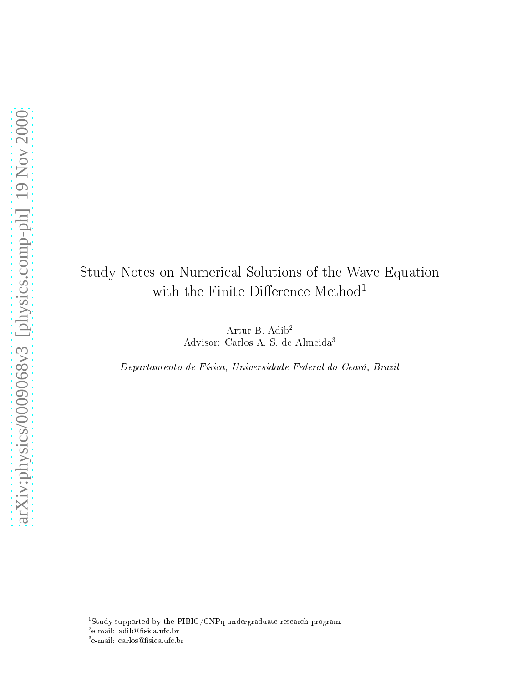## Study Notes on Numeri
al Solutions of the Wave Equation with the Finite Difference  $\mathsf{Method}^1$

Artur B. Adib2 Advisor: Carlos A. S. de Almeida3

Departamento de Físi
a, Universidade Federal do Ceará, Brazil

 $\lceil \text{Study} \rceil$  supported by the PIBIC/CNPq undergraduate research program.

<sup>−</sup>e-mail: adib⊌nsica.ufc.br

<sup>~</sup>e-mail: carlos⊌nsica.urc.br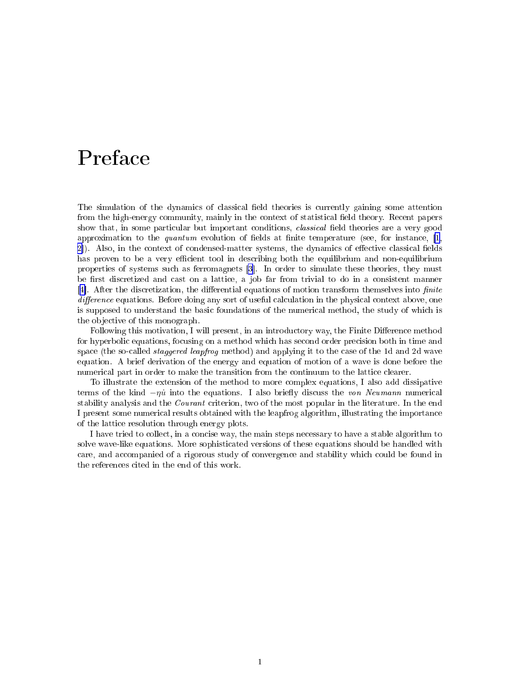## Prefa
e

The simulation of the dynamics of classical field theories is currently gaining some attention from the high-energy community, mainly in the context of statistical field theory. Recent papers show that, in some particular but important conditions, *classical* field theories are a very good approximation to the *quantum* evolution of fields at finite temperature (see, for instance,  $[1,$  $[1,$ [2](#page-19-0)). Also, in the context of condensed-matter systems, the dynamics of effective classical fields has proven to be a very efficient tool in describing both the equilibrium and non-equilibrium properties of systems such as ferromagnets [\[3](#page-19-0)]. In order to simulate these theories, they must be first discretized and cast on a lattice, a job far from trivial to do in a consistent manner [4]. After the discretization, the differential equations of motion transform themselves into  $finite$ dieren alle donne donne donne alle donne any sort of useful and useful above, all contexts above, and all cont is supposed to understand the basic foundations of the numerical method, the study of which is the ob je
tive of this monograph.

Following this motivation, I will present, in an introductory way, the Finite Difference method for hyperbolic equations, focusing on a method which has second order precision both in time and space (the so-called *staggered leapfrog* method) and applying it to the case of the 1d and 2d wave equation. A brief derivation of the energy and equation of motion of a wave is done before the numerical part in order to make the transition from the continuum to the lattice clearer.

To illustrate the extension of the method to more omplex equations, I also add dissipative terms of the kind  $-\eta\dot{u}$  into the equations. I also briefly discuss the von Neumann numerical stability analysis and the *Courant* criterion, two of the most popular in the literature. In the end I present some numerical results obtained with the leapfrog algorithm, illustrating the importance of the latti
e resolution through energy plots.

I have tried to collect, in a concise way, the main steps necessary to have a stable algorithm to solve wave-like equations. More sophisticated versions of these equations should be handled with care, and accompanied of a rigorous study of convergence and stability which could be found in the references cited in the end of this work.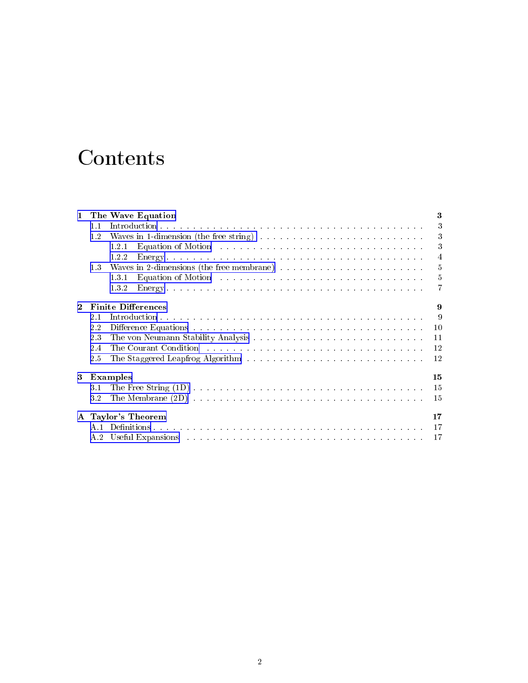## Content of the content of the content of the content of the content of the content of the content of the content of the content of the content of the content of the content of the content of the content of the content of t

| 1           |     | The Wave Equation                                                                                                                                                                                                                       | 3              |
|-------------|-----|-----------------------------------------------------------------------------------------------------------------------------------------------------------------------------------------------------------------------------------------|----------------|
|             | 1.1 |                                                                                                                                                                                                                                         | 3              |
|             | 1.2 | Waves in 1-dimension (the free string) $\ldots \ldots \ldots \ldots \ldots \ldots \ldots \ldots \ldots \ldots$                                                                                                                          | 3              |
|             |     | 1.2.1                                                                                                                                                                                                                                   | 3              |
|             |     | 1.2.2                                                                                                                                                                                                                                   | $\overline{4}$ |
|             | 1.3 | Waves in 2-dimensions (the free membrane) $\ldots \ldots \ldots \ldots \ldots \ldots \ldots \ldots$                                                                                                                                     | 5              |
|             |     | Equation of Motion entries in the contract of the contract of the Motion entries in the contract of the contract of the contract of the contract of the contract of the contract of the contract of the contract of the contra<br>1.3.1 | 5              |
|             |     | 1.3.2                                                                                                                                                                                                                                   |                |
| $\mathbf 2$ |     | <b>Finite Differences</b>                                                                                                                                                                                                               | 9              |
|             | 2.1 |                                                                                                                                                                                                                                         | 9              |
|             | 2.2 | Difference Equations we have also assessed by the contract of the contract of the contract of the contract of the contract of the contract of the contract of the contract of the contract of the contract of the contract of           | 10             |
|             | 2.3 |                                                                                                                                                                                                                                         | 11             |
|             | 2.4 | The Courant Condition (Albert 1999, 1999, 1999, 1999, 1999, 1999, 1999, 1999, 1999, 1999, 1999, 1999, 1999, 1999, 1999, 1999, 1999, 1999, 1999, 1999, 1999, 1999, 1999, 1999, 1999, 1999, 1999, 1999, 1999, 1999, 1999, 1999,           | 12             |
|             | 2.5 |                                                                                                                                                                                                                                         | 12             |
| 3           |     | Examples                                                                                                                                                                                                                                | 15             |
|             | 3.1 |                                                                                                                                                                                                                                         | 15             |
|             | 3.2 |                                                                                                                                                                                                                                         | 15             |
|             |     | A Taylor's Theorem                                                                                                                                                                                                                      | 17             |
|             | A 1 |                                                                                                                                                                                                                                         | 17             |
|             | A 2 |                                                                                                                                                                                                                                         | 17             |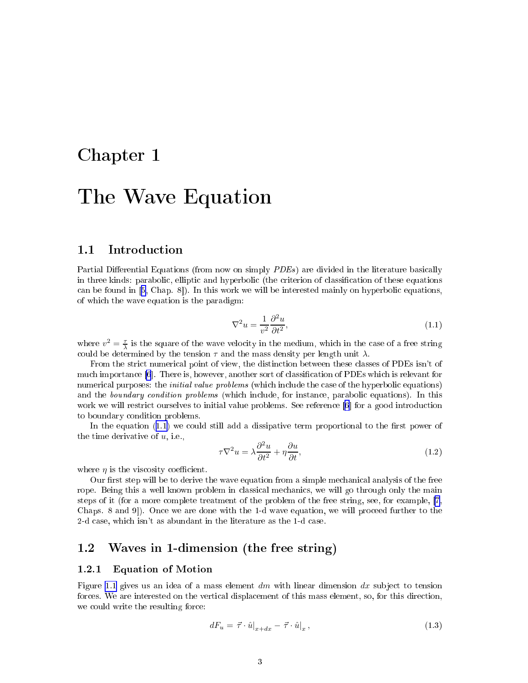## <span id="page-3-0"></span>Chapter 1

## The Wave Equation of the Wave Equation of the Wave Equation of the Wave Equation of the Wave Equation of the W

#### Introduction  $1.1$

Partial Differential Equations (from now on simply PDEs) are divided in the literature basically in three kinds: parabolic, elliptic and hyperbolic (the criterion of classification of these equations can be found in  $[5, Chap. 8])$  $[5, Chap. 8])$ . In this work we will be interested mainly on hyperbolic equations, of whi
h the wave equation is the paradigm:

$$
\nabla^2 u = \frac{1}{v^2} \frac{\partial^2 u}{\partial t^2},\tag{1.1}
$$

where  $v^2 = \frac{\tau}{\lambda}$  is the square of the wave velocity in the medium, which in the case of a free string could be determined by the tension  $\tau$  and the mass density per length unit  $\lambda$ .

From the strict numerical point of view, the distinction between these classes of PDEs isn't of much importance [\[6](#page-19-0)]. There is, however, another sort of classification of PDEs which is relevant for numerical purposes: the *initial value problems* (which include the case of the hyperbolic equations) and the *boundary condition problems* (which include, for instance, parabolic equations). In this work we will restrict ourselves to initial value problems. See reference [\[6](#page-19-0)] for a good introduction to boundary ondition problems.

In the equation  $(1.1)$  we could still add a dissipative term proportional to the first power of the time derivative of  $u$ , i.e.,

$$
\tau \nabla^2 u = \lambda \frac{\partial^2 u}{\partial t^2} + \eta \frac{\partial u}{\partial t},\tag{1.2}
$$

where  $\eta$  is the viscosity coefficient.

Our first step will be to derive the wave equation from a simple mechanical analysis of the free rope. Being this a well known problem in classical mechanics, we will go through only the main steps of it (for a more omplete treatment of the problem of the free string, see, for example, [\[7](#page-19-0), Chaps. 8 and 9. Once we are done with the 1-d wave equation, we will proceed further to the 2-d case, which isn't as abundant in the literature as the 1-d case.

### 1.2 Waves in 1-dimension (the free string)

#### 1.2.1Equation of Motion

Figure [1.1](#page-4-0) gives us an idea of a mass element  $dm$  with linear dimension  $dx$  subject to tension forces. We are interested on the vertical displacement of this mass element, so, for this direction, we could write the resulting force:

$$
dF_u = \vec{\tau} \cdot \hat{u}|_{x+dx} - \vec{\tau} \cdot \hat{u}|_x, \qquad (1.3)
$$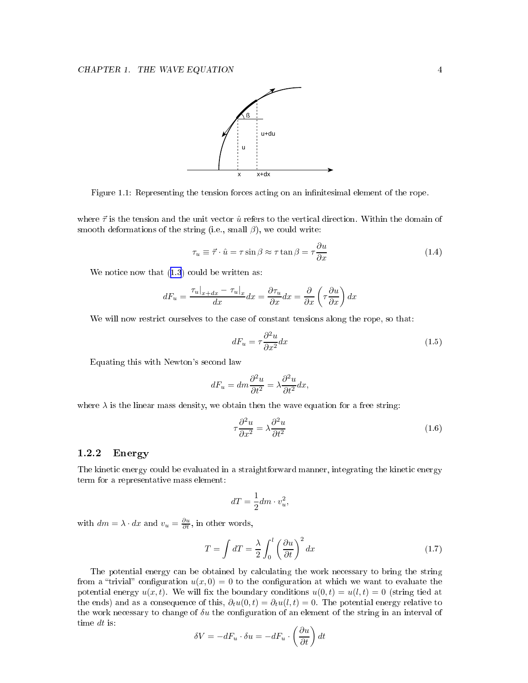<span id="page-4-0"></span>

Figure 1.1: Representing the tension forces acting on an infinitesimal element of the rope.

where  $\vec{\tau}$  is the tension and the unit vector  $\hat{u}$  refers to the vertical direction. Within the domain of smooth deformations of the string (i.e., small  $\beta$ ), we could write:

$$
\tau_u \equiv \vec{\tau} \cdot \hat{u} = \tau \sin \beta \approx \tau \tan \beta = \tau \frac{\partial u}{\partial x} \tag{1.4}
$$

We notice now that  $(1.3)$  $(1.3)$  $(1.3)$  could be written as:

$$
dF_u = \frac{\tau_u|_{x+dx} - \tau_u|_x}{dx} dx = \frac{\partial \tau_u}{\partial x} dx = \frac{\partial}{\partial x} \left( \tau \frac{\partial u}{\partial x} \right) dx
$$

We will now restrict ourselves to the case of constant tensions along the rope, so that:

$$
dF_u = \tau \frac{\partial^2 u}{\partial x^2} dx \tag{1.5}
$$

Equating this with Newton's se
ond law

$$
dF_u = dm \frac{\partial^2 u}{\partial t^2} = \lambda \frac{\partial^2 u}{\partial t^2} dx,
$$

where  $\lambda$  is the linear mass density, we obtain then the wave equation for a free string:

$$
\tau \frac{\partial^2 u}{\partial x^2} = \lambda \frac{\partial^2 u}{\partial t^2} \tag{1.6}
$$

#### 1.2.2Energy

The kinetic energy could be evaluated in a straightforward manner, integrating the kinetic energy term for a representative mass element:

$$
dT = \frac{1}{2}dm \cdot v_u^2,
$$

with  $dm = \lambda \cdot dx$  and  $v_u = \frac{\partial u}{\partial t}$ , in other words,

$$
T = \int dT = \frac{\lambda}{2} \int_0^l \left(\frac{\partial u}{\partial t}\right)^2 dx
$$
 (1.7)

The potential energy an be obtained by al
ulating the work ne
essary to bring the string from a "trivial" configuration  $u(x, 0) = 0$  to the configuration at which we want to evaluate the potential energy  $u(x, t)$ . We will fix the boundary conditions  $u(0, t) = u(l, t) = 0$  (string tied at the ends) and as a consequence of this,  $\partial_t u(0,t) = \partial_t u(l,t) = 0$ . The potential energy relative to the work necessary to change of  $\delta u$  the configuration of an element of the string in an interval of time dt is:

$$
\delta V = -dF_u \cdot \delta u = -dF_u \cdot \left(\frac{\partial u}{\partial t}\right)dt
$$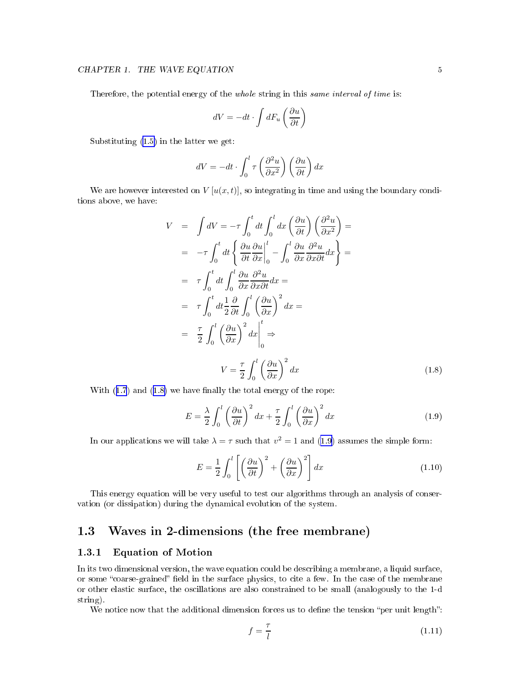<span id="page-5-0"></span>Therefore, the potential energy of the *whole* string in this *same interval of time* is:

$$
dV = -dt \cdot \int dF_u \left(\frac{\partial u}{\partial t}\right)
$$

Substituting ([1.5\)](#page-4-0) in the latter we get:

$$
dV = -dt \cdot \int_0^l \tau \left(\frac{\partial^2 u}{\partial x^2}\right) \left(\frac{\partial u}{\partial t}\right) dx
$$

We are however interested on  $V[u(x,t)]$ , so integrating in time and using the boundary conditions above, we have:

$$
V = \int dV = -\tau \int_0^t dt \int_0^l dx \left(\frac{\partial u}{\partial t}\right) \left(\frac{\partial^2 u}{\partial x^2}\right) =
$$
  
\n
$$
= -\tau \int_0^t dt \left\{\frac{\partial u}{\partial t} \frac{\partial u}{\partial x}\Big|_0^l - \int_0^l \frac{\partial u}{\partial x} \frac{\partial^2 u}{\partial x \partial t} dx\right\} =
$$
  
\n
$$
= \tau \int_0^t dt \int_0^l \frac{\partial u}{\partial x} \frac{\partial^2 u}{\partial x \partial t} dx =
$$
  
\n
$$
= \tau \int_0^t dt \frac{1}{2} \frac{\partial}{\partial t} \int_0^l \left(\frac{\partial u}{\partial x}\right)^2 dx =
$$
  
\n
$$
= \frac{\tau}{2} \int_0^l \left(\frac{\partial u}{\partial x}\right)^2 dx \Big|_0^l \Rightarrow
$$
  
\n
$$
V = \frac{\tau}{2} \int_0^l \left(\frac{\partial u}{\partial x}\right)^2 dx
$$

With  $(1.7)$  $(1.7)$  $(1.7)$  and  $(1.8)$  we have finally the total energy of the rope:

$$
E = \frac{\lambda}{2} \int_0^l \left(\frac{\partial u}{\partial t}\right)^2 dx + \frac{\tau}{2} \int_0^l \left(\frac{\partial u}{\partial x}\right)^2 dx \tag{1.9}
$$

In our applications we will take  $\lambda = \tau$  such that  $v^2 = 1$  and (1.9) assumes the simple form:

$$
E = \frac{1}{2} \int_0^l \left[ \left( \frac{\partial u}{\partial t} \right)^2 + \left( \frac{\partial u}{\partial x} \right)^2 \right] dx \tag{1.10}
$$

This energy equation will be very useful to test our algorithms through an analysis of conservation (or dissipation) during the dynami
al evolution of the system.

### 1.3 Waves in 2-dimensions (the free membrane)

#### 1.3.1Equation of Motion

In its two dimensional version, the wave equation could be describing a membrane, a liquid surface, or some "coarse-grained" field in the surface physics, to cite a few. In the case of the membrane or other elastic surface, the oscillations are also constrained to be small (analogously to the 1-d string).

We notice now that the additional dimension forces us to define the tension "per unit length":

$$
f = \frac{\tau}{l} \tag{1.11}
$$

 $(1.8)$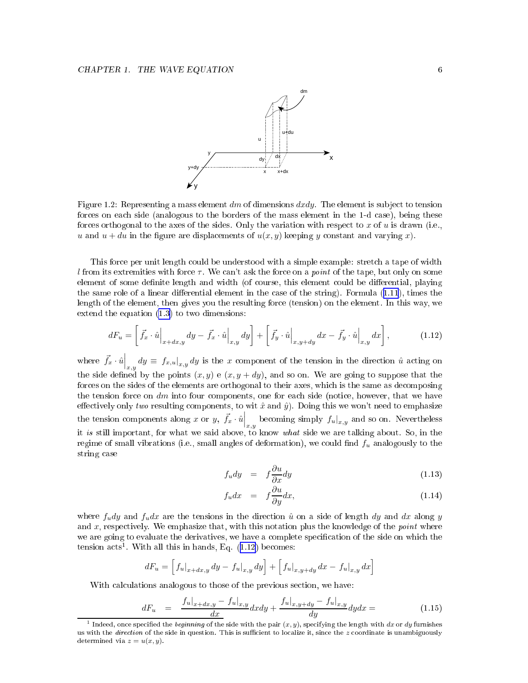

Figure 1.2: Representing a mass element  $dm$  of dimensions  $dxdy$ . The element is subject to tension forces on each side (analogous to the borders of the mass element in the 1-d case), being these forces orthogonal to the axes of the sides. Only the variation with respect to x of u is drawn (i.e., u and  $u + du$  in the figure are displacements of  $u(x, y)$  keeping y constant and varying x).

This force per unit length could be understood with a simple example: stretch a tape of width l from its extremities with force  $\tau$ . We can't ask the force on a *point* of the tape, but only on some element of some definite length and width (of course, this element could be differential, playing the same role of a linear differential element in the case of the string). Formula  $(1.11)$  $(1.11)$  $(1.11)$ , times the length of the element, then gives you the resulting for
e (tension) on the element. In this way, we extend the equation [\(1.3\)](#page-3-0) to two dimensions:

$$
dF_u = \left[\vec{f}_x \cdot \hat{u}\Big|_{x+dx,y} dy - \vec{f}_x \cdot \hat{u}\Big|_{x,y} dy\right] + \left[\vec{f}_y \cdot \hat{u}\Big|_{x,y+dy} dx - \vec{f}_y \cdot \hat{u}\Big|_{x,y} dx\right],\tag{1.12}
$$

where  $\vec{f}_x \cdot \hat{u}\Big|_{x,y} dy \equiv f_{x,u}\big|_{x,y} dy$  is the x component of the tension in the direction  $\hat{u}$  acting on the side defined by the points  $(x, y)$  e  $(x, y + dy)$ , and so on. We are going to suppose that the forces on the sides of the elements are orthogonal to their axes, which is the same as decomposing the tension force on  $dm$  into four components, one for each side (notice, however, that we have effectively only two resulting components, to wit  $\hat{x}$  and  $\hat{y}$ ). Doing this we won't need to emphasize the tension components along x or y,  $\vec{f}_x \cdot \hat{u}\Big|_{x,y}$  becoming simply  $f_u|_{x,y}$  and so on. Nevertheless it is still important, for what we said above, to know what side we are talking about. So, in the regime of small vibrations (i.e., small angles of deformation), we could find  $f_u$  analogously to the string ase

$$
f_u dy = f \frac{\partial u}{\partial x} dy \tag{1.13}
$$

$$
f_u dx = f \frac{\partial u}{\partial y} dx, \qquad (1.14)
$$

where  $f_u dy$  and  $f_u dx$  are the tensions in the direction  $\hat{u}$  on a side of length dy and dx along y and  $x$ , respectively. We emphasize that, with this notation plus the knowledge of the *point* where we are going to evaluate the derivatives, we have a complete specification of the side on which the tension acts". With all this in hands, Eq. (1.12) becomes:

$$
dF_u = \left[ f_u|_{x+dx,y} dy - f_u|_{x,y} dy \right] + \left[ f_u|_{x,y+dy} dx - f_u|_{x,y} dx \right]
$$

With calculations analogous to those of the previous section, we have:

$$
dF_u = \frac{f_u|_{x+dx,y} - f_u|_{x,y}}{dx} dx dy + \frac{f_u|_{x,y+dy} - f_u|_{x,y}}{dy} dy dx = \qquad (1.15)
$$

 $^1$  Indeed, once specified the *beginning* of the side with the pair  $(x, y)$ , specifying the length with  $dx$  or  $dy$  furnishes us with the *direction* of the side in question. This is sufficient to localize it, since the  $z$  coordinate is unambiguously determined via  $z = u(x, y)$ .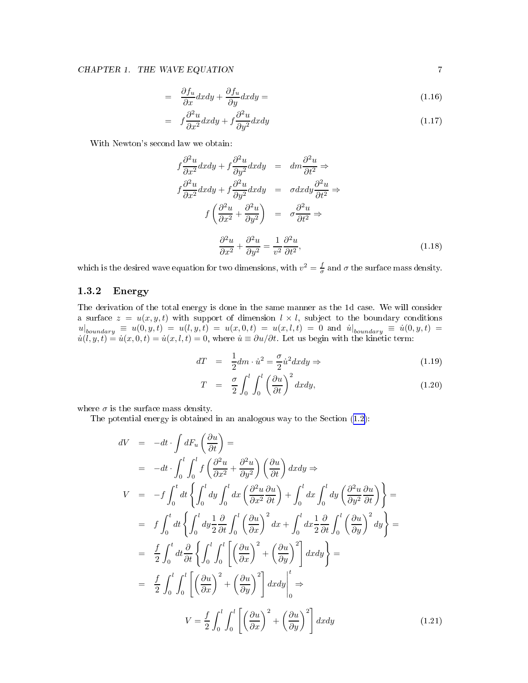### <span id="page-7-0"></span>CHAPTER 1. THE WAVE EQUATION 7

$$
= \frac{\partial f_u}{\partial x} dx dy + \frac{\partial f_u}{\partial y} dx dy = \tag{1.16}
$$

$$
= f \frac{\partial^2 u}{\partial x^2} dx dy + f \frac{\partial^2 u}{\partial y^2} dx dy \tag{1.17}
$$

With Newton's se
ond law we obtain:

$$
f\frac{\partial^2 u}{\partial x^2}dxdy + f\frac{\partial^2 u}{\partial y^2}dxdy = dm\frac{\partial^2 u}{\partial t^2} \Rightarrow
$$
  

$$
f\frac{\partial^2 u}{\partial x^2}dxdy + f\frac{\partial^2 u}{\partial y^2}dxdy = \sigma dxdy\frac{\partial^2 u}{\partial t^2} \Rightarrow
$$
  

$$
f\left(\frac{\partial^2 u}{\partial x^2} + \frac{\partial^2 u}{\partial y^2}\right) = \sigma\frac{\partial^2 u}{\partial t^2} \Rightarrow
$$
  

$$
\frac{\partial^2 u}{\partial x^2} + \frac{\partial^2 u}{\partial y^2} = \frac{1}{v^2}\frac{\partial^2 u}{\partial t^2},
$$
 (1.18)

which is the desired wave equation for two dimensions, with  $v^2 = \frac{f}{\sigma}$  and  $\sigma$  the surface mass density.

#### 1.3.2Energy

The derivation of the total energy is done in the same manner as the 1d case. We will consider a surface  $z = u(x, y, t)$  with support of dimension  $l \times l$ , subject to the boundary conditions  $u|_{boundary} \equiv u(0, y, t) = u(l, y, t) = u(x, 0, t) = u(x, l, t) = 0$  and  $u|_{boundary} \equiv u(0, y, t) = u(l, y, t) = u(l, y, t) = u(l, u, l, t) = u(u, l, t) = 0$  $\dot{u}(l, y, t) = \dot{u}(x, 0, t) = \dot{u}(x, l, t) = 0$ , where  $\dot{u} \equiv \partial u/\partial t$ . Let us begin with the kinetic term:

$$
dT = \frac{1}{2}dm \cdot \dot{u}^2 = -\frac{\sigma}{2}\dot{u}^2 dx dy \Rightarrow \qquad (1.19)
$$

$$
T = \frac{\sigma}{2} \int_0^l \int_0^l \left(\frac{\partial u}{\partial t}\right)^2 dx dy, \qquad (1.20)
$$

where  $\sigma$  is the surface mass density.

The potential energy is obtained in an analogous way to the Section  $(1.2)$  $(1.2)$ .

$$
dV = -dt \cdot \int dF_u \left(\frac{\partial u}{\partial t}\right) =
$$
  
\n
$$
= -dt \cdot \int_0^l \int_0^l f\left(\frac{\partial^2 u}{\partial x^2} + \frac{\partial^2 u}{\partial y^2}\right) \left(\frac{\partial u}{\partial t}\right) dx dy \Rightarrow
$$
  
\n
$$
V = -f \int_0^t dt \left\{ \int_0^l dy \int_0^l dx \left(\frac{\partial^2 u}{\partial x^2} \frac{\partial u}{\partial t}\right) + \int_0^l dx \int_0^l dy \left(\frac{\partial^2 u}{\partial y^2} \frac{\partial u}{\partial t}\right) \right\} =
$$
  
\n
$$
= f \int_0^t dt \left\{ \int_0^l dy \frac{1}{2} \frac{\partial}{\partial t} \int_0^l \left(\frac{\partial u}{\partial x}\right)^2 dx + \int_0^l dx \frac{1}{2} \frac{\partial}{\partial t} \int_0^l \left(\frac{\partial u}{\partial y}\right)^2 dy \right\} =
$$
  
\n
$$
= \frac{f}{2} \int_0^t dt \frac{\partial}{\partial t} \left\{ \int_0^l \int_0^l \left[\left(\frac{\partial u}{\partial x}\right)^2 + \left(\frac{\partial u}{\partial y}\right)^2 \right] dx dy \right\} =
$$
  
\n
$$
= \frac{f}{2} \int_0^l \int_0^l \left[\left(\frac{\partial u}{\partial x}\right)^2 + \left(\frac{\partial u}{\partial y}\right)^2 \right] dx dy \Big|_0^l \Rightarrow
$$
  
\n
$$
V = \frac{f}{2} \int_0^l \int_0^l \left[\left(\frac{\partial u}{\partial x}\right)^2 + \left(\frac{\partial u}{\partial y}\right)^2 \right] dx dy \qquad (1.21)
$$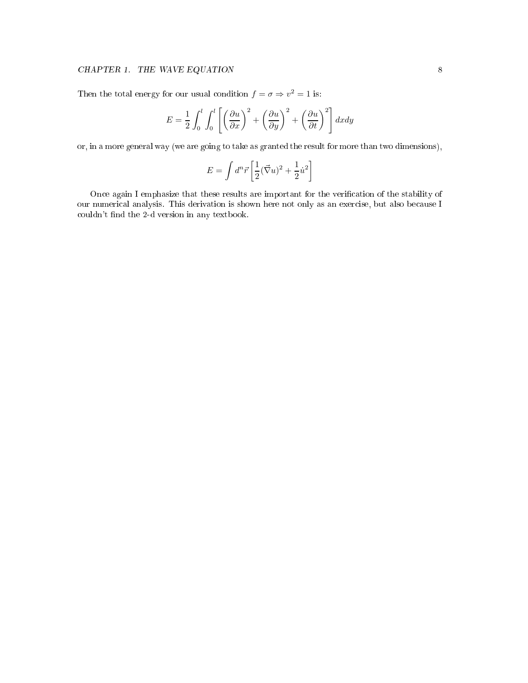### $\begin{array}{lll} \textbf{CHAPTER 1.} & \textbf{THE WAVE EQUATION} \end{array} \qquad \qquad \begin{array}{lll} \textbf{8} & \textbf{9} & \textbf{11} & \textbf{12} & \textbf{13} & \textbf{14} & \textbf{15} & \textbf{16} & \textbf{17} & \textbf{18} & \textbf{18} & \textbf{18} & \textbf{19} & \textbf{19} & \textbf{18} & \textbf{19} & \textbf{18} & \textbf{19} & \textbf{19} & \textbf{19} & \textbf{10} & \textbf{10$

Then the total energy for our usual condition  $f = \sigma \Rightarrow v^2 = 1$  is:

$$
E = \frac{1}{2} \int_0^l \int_0^l \left[ \left( \frac{\partial u}{\partial x} \right)^2 + \left( \frac{\partial u}{\partial y} \right)^2 + \left( \frac{\partial u}{\partial t} \right)^2 \right] dx dy
$$

or, in a more general way (we are going to take as granted the result for more than two dimensions),

$$
E = \int d^n \vec{r} \left[ \frac{1}{2} (\vec{\nabla} u)^2 + \frac{1}{2} \dot{u}^2 \right]
$$

Once again I emphasize that these results are important for the verification of the stability of our numerical analysis. This derivation is shown here not only as an exercise, but also because I couldn't find the 2-d version in any textbook.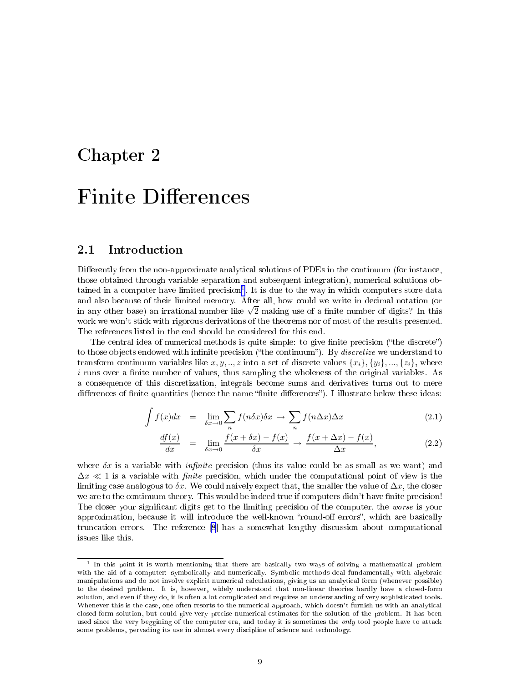## <span id="page-9-0"></span>Chapter 2

#### $2.1$ **Introduction**

Differently from the non-approximate analytical solutions of PDEs in the continuum (for instance, those obtained through variable separation and subsequent integration), numeri
al solutions obtained in a computer nave limited precision . It is due to the way in which computers store data and also because of their limited memory. After all, how could we write in decimal notation (or in any other base) an irrational number like  $\sqrt{2}$  making use of a finite number of digits? In this work we won't sti
k with rigorous derivations of the theorems nor of most of the results presented. The referen
es listed in the end should be onsidered for this end.

The central idea of numerical methods is quite simple: to give finite precision ("the discrete") to those objects endowed with infinite precision ("the continuum"). By *discretize* we understand to transform continuum variables like  $x, y, \ldots, z$  into a set of discrete values  $\{x_i\}, \{y_i\}, \ldots, \{z_i\},$  where  $i$  runs over a finite number of values, thus sampling the wholeness of the original variables. As a onsequen
e of this dis
retization, integrals be
ome sums and derivatives turns out to mere differences of finite quantities (hence the name "finite differences"). I illustrate below these ideas:

$$
\int f(x)dx = \lim_{\delta x \to 0} \sum_{n} f(n\delta x)\delta x \to \sum_{n} f(n\Delta x)\Delta x \tag{2.1}
$$

$$
\frac{df(x)}{dx} = \lim_{\delta x \to 0} \frac{f(x + \delta x) - f(x)}{\delta x} \to \frac{f(x + \Delta x) - f(x)}{\Delta x},
$$
\n(2.2)

where  $\delta x$  is a variable with *infinite* precision (thus its value could be as small as we want) and  $\Delta x \ll 1$  is a variable with *finite* precision, which under the computational point of view is the limiting case analogous to  $\delta x$ . We could naively expect that, the smaller the value of  $\Delta x$ , the closer we are to the continuum theory. This would be indeed true if computers didn't have finite precision! The closer your significant digits get to the limiting precision of the computer, the worse is your approximation, because it will introduce the well-known "round-off errors", which are basically truncation errors. The reference [\[8](#page-19-0)] has a somewhat lengthy discussion about computational issues like this.

 $^\circ$  in this point it is worth mentioning that there are basically two ways of solving a mathematical problem with the aid of ally ally ally ally and numerically. Symbolic methods deal fundamental with algebraic manipulations and do not involve expli
it numeri
al al
ulations, giving us an analyti
al form (whenever possible) to the desired problem. It is, however, widely understood that non-linear theories hardly have <sup>a</sup> losed-form solution, and even if they do, it is often <sup>a</sup> lot ompli
ated and requires an understanding of very sophisti
ated tools. Whenever this is the case, one often resorts to the numerical approach, which doesn't furnish us with an analytical losed-form solution, but ould give very pre
ise numeri
al estimates for the solution of the problem. It has been used sin
e the very beggining of the omputer era, and today it is sometimes the only tool people have to atta
k some problems, pervading its use in almost every dis
ipline of s
ien
e and te
hnology.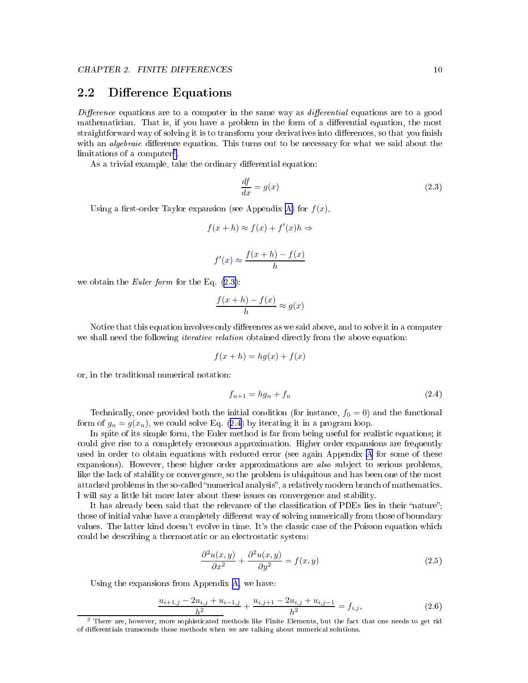### <span id="page-10-0"></span>2.2 Difference Equations

Dieren
e equations are to a omputer in the same way as dierential equations are to a good mathematician. That is, if you have a problem in the form of a differential equation, the most straightforward way of solving it is to transform your derivatives into differences, so that you finish with an *algebraic* difference equation. This turns out to be necessary for what we said about the limitations of a omputer2 .

As a trivial example, take the ordinary differential equation:

$$
\frac{df}{dx} = g(x) \tag{2.3}
$$

Using a first-order Taylor expansion (see Appendix [A\)](#page-17-0) for  $f(x)$ ,

$$
f(x+h) \approx f(x) + f'(x)h \Rightarrow
$$

$$
f'(x) \approx \frac{f(x+h) - f(x)}{h}
$$

we obtain the *Euler form* for the Eq.  $(2.3)$ :

$$
\frac{f(x+h) - f(x)}{h} \approx g(x)
$$

Notice that this equation involves only differences as we said above, and to solve it in a computer we shall need the following *iterative relation* obtained directly from the above equation:

$$
f(x+h) = hg(x) + f(x)
$$

or, in the traditional numeri
al notation:

$$
f_{n+1} = hg_n + f_n \tag{2.4}
$$

Technically, once provided both the initial condition (for instance,  $f_0 = 0$ ) and the functional form of  $g_n = g(x_n)$ , we could solve Eq. (2.4) by iterating it in a program loop.

In spite of its simple form, the Euler method is far from being useful for realistic equations; it could give rise to a completely erroneous approximation. Higher order expansions are frequently used in order to obtain equations with redu
ed error (see again Appendix [A](#page-17-0) for some of these expansions). However, these higher order approximations are  $also$  subject to serious problems, like the lack of stability or convergence, so the problem is ubiquitous and has been one of the most attacked problems in the so-called "numerical analysis", a relatively modern branch of mathematics. I will say a little bit more later about these issues on onvergen
e and stability.

It has already been said that the relevance of the classification of PDEs lies in their "nature"; those of initial value have a completely different way of solving numerically from those of boundary values. The latter kind doesn't evolve in time. It's the classic case of the Poisson equation which could be describing a thermostatic or an electrostatic system:

$$
\frac{\partial^2 u(x,y)}{\partial x^2} + \frac{\partial^2 u(x,y)}{\partial y^2} = f(x,y)
$$
\n(2.5)

Using the expansions from Appendix [A,](#page-17-0) we have:

$$
\frac{u_{i+1,j} - 2u_{i,j} + u_{i-1,j}}{h^2} + \frac{u_{i,j+1} - 2u_{i,j} + u_{i,j-1}}{h^2} = f_{i,j},\tag{2.6}
$$

<sup>-</sup> There are, however, more sophisticated methods like Finite Elements, but the fact that one needs to get rid of dierentials trans
ends these methods when we are talking about numeri
al solutions.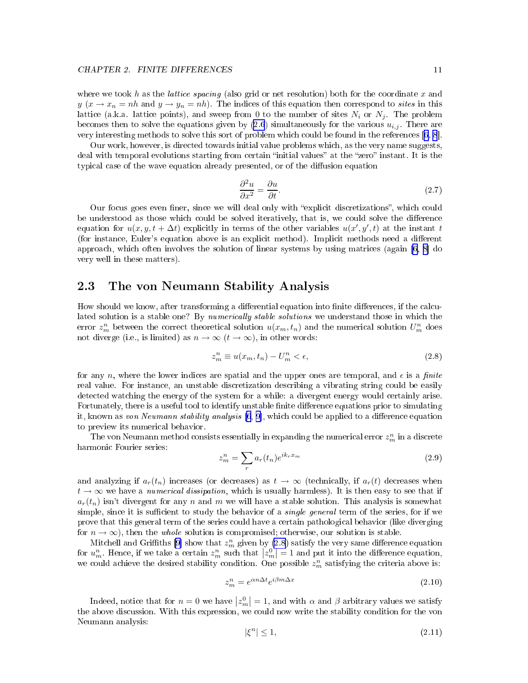<span id="page-11-0"></span>where we took h as the *lattice spacing* (also grid or net resolution) both for the coordinate x and  $y(x \rightarrow x_n = nh$  and  $y \rightarrow y_n = nh$ ). The indices of this equation then correspond to sites in this lattice (a.k.a. lattice points), and sweep from 0 to the number of sites  $N_i$  or  $N_j$ . The problem becomes then to solve the equations given by  $(2.6)$  $(2.6)$  simultaneously for the various  $u_{i,j}$ . There are very interesting methods to solve this sort of problem which could be found in the references [[6,](#page-19-0) [8](#page-19-0)].

Our work, however, is dire
ted towards initial value problems whi
h, as the very name suggests, deal with temporal evolutions starting from certain "initial values" at the "zero" instant. It is the typical case of the wave equation already presented, or of the diffusion equation

$$
\frac{\partial^2 u}{\partial x^2} = \frac{\partial u}{\partial t}.\tag{2.7}
$$

Our focus goes even finer, since we will deal only with "explicit discretizations", which could be understood as those which could be solved iteratively, that is, we could solve the difference equation for  $u(x, y, t + \Delta t)$  explicitly in terms of the other variables  $u(x', y', t)$  at the instant t (for instance, Euler's equation above is an explicit method). Implicit methods need a different approach, which often involves the solution of linear systems by using matrices (again  $[6, 8]$  $[6, 8]$  do very well in these matters).

### 2.3 The von Neumann Stability Analysis

How should we know, after transforming a differential equation into finite differences, if the calculated solution is a stable one? By numerically stable solutions we understand those in which the error  $z_m^n$  between the correct theoretical solution  $u(x_m, t_n)$  and the numerical solution  $U_m^n$  does not diverge (i.e., is limited) as  $n \to \infty$   $(t \to \infty)$ , in other words:

$$
z_m^n \equiv u(x_m, t_n) - U_m^n < \epsilon,\tag{2.8}
$$

for any n, where the lower indices are spatial and the upper ones are temporal, and  $\epsilon$  is a finite real value. For instance, an unstable discretization describing a vibrating string could be easily detected watching the energy of the system for a while: a divergent energy would certainly arise. Fortunately, there is a useful tool to identify unstable finite difference equations prior to simulating it, known as von Neumann stability analysis  $[6, 9]$  $[6, 9]$ , which could be applied to a difference equation to preview its numeri
al behavior.

The von Neumann method consists essentially in expanding the numerical error  $z_{m}^{n}$  in a discrete harmoni Fourier series:

$$
z_m^n = \sum_r a_r(t_n) e^{ik_r x_m} \tag{2.9}
$$

and analyzing if  $a_r(t_n)$  increases (or decreases) as  $t \to \infty$  (technically, if  $a_r(t)$  decreases when  $t \to \infty$  we have a numerical dissipation, which is usually harmless). It is then easy to see that if  $a_r(t_n)$  isn't divergent for any n and m we will have a stable solution. This analysis is somewhat simple, since it is sufficient to study the behavior of a *single general* term of the series, for if we prove that this general term of the series ould have a ertain pathologi
al behavior (like diverging for  $n \to \infty$ ), then the *whole* solution is compromised; otherwise, our solution is stable.

Mitchell and Griffiths [\[9](#page-19-0)] show that  $z_m^n$  given by (2.8) satisfy the very same difference equation for  $u_m^n$ . Hence, if we take a certain  $z_m^n$  such that  $|z_m^0|=1$  and put it into the difference equation, we could achieve the desired stability condition. One possible  $z_m^n$  satisfying the criteria above is:

$$
z_m^n = e^{\alpha n \Delta t} e^{i\beta m \Delta x} \tag{2.10}
$$

Indeed, notice that for  $n = 0$  we have  $|z_m^0| = 1$ , and with  $\alpha$  and  $\beta$  arbitrary values we satisfy the above discussion. With this expression, we could now write the stability condition for the von Neumann analysis:

$$
|\xi^n| \le 1,\tag{2.11}
$$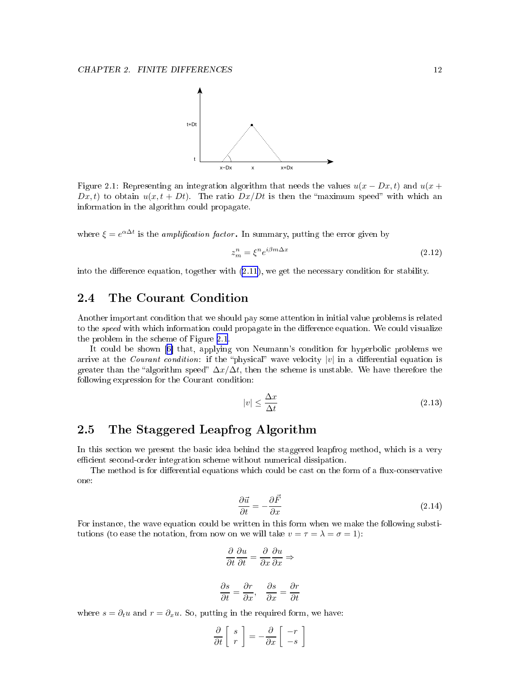<span id="page-12-0"></span>

Figure 2.1: Representing an integration algorithm that needs the values  $u(x - Dx, t)$  and  $u(x +$  $Dx, t$  to obtain  $u(x, t + Dt)$ . The ratio  $Dx/Dt$  is then the "maximum speed" with which an information in the algorithm could propagate.

where  $\xi = e^{\alpha \Delta t}$  is the *amplification factor*. In summary, putting the error given by

$$
z_m^n = \xi^n e^{i\beta m \Delta x} \tag{2.12}
$$

into the difference equation, together with  $(2.11)$  $(2.11)$ , we get the necessary condition for stability.

#### 2.4 The Courant Condition

Another important ondition that we should pay some attention in initial value problems is related to the *speed* with which information could propagate in the difference equation. We could visualize the problem in the s
heme of Figure 2.1.

It could be shown [6] that, applying von Neumann's condition for hyperbolic problems we arrive at the *Courant condition*: if the "physical" wave velocity |v| in a differential equation is greater than the "algorithm speed"  $\Delta x/\Delta t$ , then the scheme is unstable. We have therefore the following expression for the Courant condition:

$$
|v| \le \frac{\Delta x}{\Delta t} \tag{2.13}
$$

### 2.5 The Staggered Leapfrog Algorithm

In this section we present the basic idea behind the staggered leapfrog method, which is a very efficient second-order integration scheme without numerical dissipation.

The method is for differential equations which could be cast on the form of a flux-conservative one:

$$
\frac{\partial \vec{u}}{\partial t} = -\frac{\partial \vec{F}}{\partial x} \tag{2.14}
$$

For instance, the wave equation could be written in this form when we make the following substitutions (to ease the notation, from now on we will take  $v = \tau = \lambda = \sigma = 1$ ):

$$
\frac{\partial}{\partial t} \frac{\partial u}{\partial t} = \frac{\partial}{\partial x} \frac{\partial u}{\partial x} \Rightarrow
$$

$$
\frac{\partial s}{\partial t} = \frac{\partial r}{\partial x}, \quad \frac{\partial s}{\partial x} = \frac{\partial r}{\partial t}
$$

where  $s = \partial_t u$  and  $r = \partial_x u$ . So, putting in the required form, we have:

$$
\frac{\partial}{\partial t} \left[ \begin{array}{c} s \\ r \end{array} \right] = -\frac{\partial}{\partial x} \left[ \begin{array}{c} -r \\ -s \end{array} \right]
$$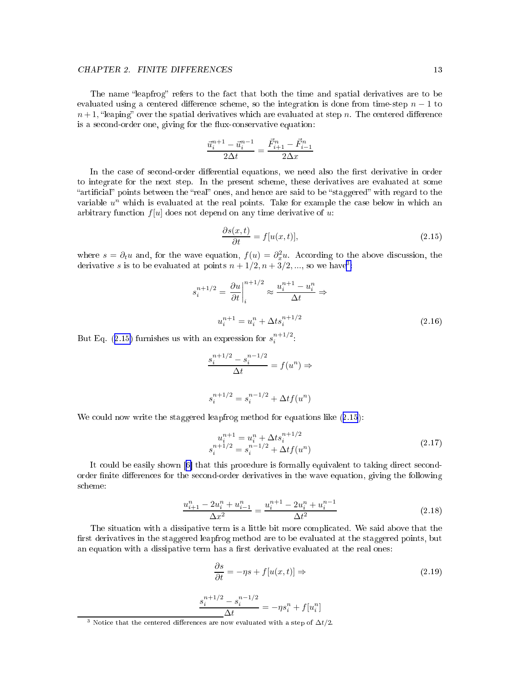#### <span id="page-13-0"></span>CHAPTER 2. FINITE DIFFERENCES 13

The name "leapfrog" refers to the fact that both the time and spatial derivatives are to be evaluated using a centered difference scheme, so the integration is done from time-step  $n-1$  to  $n+1$ , "leaping" over the spatial derivatives which are evaluated at step n. The centered difference is a second-order one, giving for the flux-conservative equation:

$$
\frac{\vec{u}_i^{n+1} - \vec{u}_i^{n-1}}{2\Delta t} = \frac{\vec{F}_{i+1}^n - \vec{F}_{i-1}^n}{2\Delta x}
$$

In the case of second-order differential equations, we need also the first derivative in order to integrate for the next step. In the present s
heme, these derivatives are evaluated at some "artificial" points between the "real" ones, and hence are said to be "staggered" with regard to the variable  $u^n$  which is evaluated at the real points. Take for example the case below in which an arbitrary function  $f[u]$  does not depend on any time derivative of u:

$$
\frac{\partial s(x,t)}{\partial t} = f[u(x,t)],\tag{2.15}
$$

where  $s = \partial_t u$  and, for the wave equation,  $f(u) = \partial_x^2 u$ . According to the above discussion, the derivative s is to be evaluated at points  $n + 1/2, n + 3/2, \dots$ , so we have<sup>3</sup>:

$$
s_i^{n+1/2} = \frac{\partial u}{\partial t} \Big|_i^{n+1/2} \approx \frac{u_i^{n+1} - u_i^n}{\Delta t} \Rightarrow
$$
  

$$
u_i^{n+1} = u_i^n + \Delta t s_i^{n+1/2}
$$
 (2.16)

But Eq. (2.15) furnishes us with an expression for  $s_i^{n+1/2}$  $i$ 

$$
\frac{s_i^{n+1/2} - s_i^{n-1/2}}{\Delta t} = f(u^n) \Rightarrow
$$
  

$$
s_i^{n+1/2} = s_i^{n-1/2} + \Delta t f(u^n)
$$

We could now write the staggered leapfrog method for equations like  $(2.15)$ :

$$
u_i^{n+1} = u_i^n + \Delta t s_i^{n+1/2}
$$
  
\n
$$
s_i^{n+1/2} = s_i^{n-1/2} + \Delta t f(u^n)
$$
\n(2.17)

It could be easily shown [6] that this procedure is formally equivalent to taking direct secondorder finite differences for the second-order derivatives in the wave equation, giving the following s
heme:

$$
\frac{u_{i+1}^n - 2u_i^n + u_{i-1}^n}{\Delta x^2} = \frac{u_i^{n+1} - 2u_i^n + u_i^{n-1}}{\Delta t^2}
$$
\n(2.18)

The situation with a dissipative term is a little bit more complicated. We said above that the first derivatives in the staggered leapfrog method are to be evaluated at the staggered points, but an equation with a dissipative term has a first derivative evaluated at the real ones:

$$
\frac{\partial s}{\partial t} = -\eta s + f[u(x, t)] \Rightarrow \tag{2.19}
$$

$$
\frac{s_i^{n+1/2}-s_i^{n-1/2}}{\Delta t}=-\eta s_i^n+f[u_i^n]
$$

<sup>&</sup>lt;sup>3</sup> Notice that the centered differences are now evaluated with a step of  $\Delta t/2.$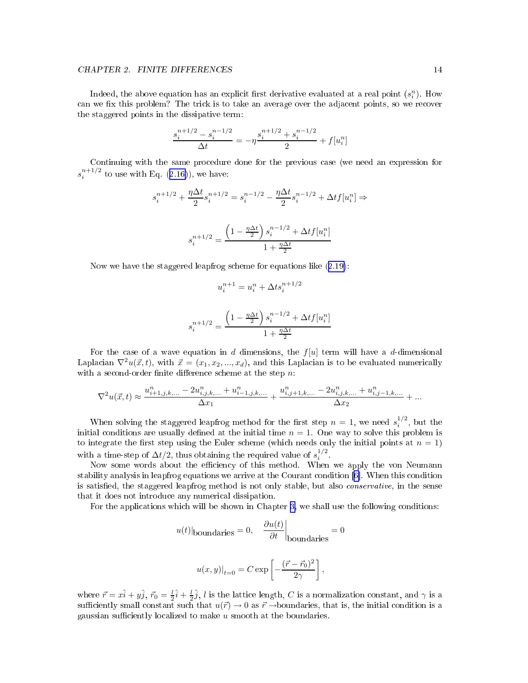### CHAPTER 2. FINITE DIFFERENCES 14

Indeed, the above equation has an explicit first derivative evaluated at a real point  $(s_i^p)$ . How can we fix this problem? The trick is to take an average over the adjacent points, so we recover the staggered points in the dissipative term:

$$
\frac{s_i^{n+1/2}-s_i^{n-1/2}}{\Delta t}=-\eta\frac{s_i^{n+1/2}+s_i^{n-1/2}}{2}+f[u_i^n]
$$

Continuing with the same pro
edure done for the previous ase (we need an expression for  $s_i^{n+1/2}$  $i$  to use with Eq. (2.10)), we have.

$$
s_i^{n+1/2} + \frac{\eta \Delta t}{2} s_i^{n+1/2} = s_i^{n-1/2} - \frac{\eta \Delta t}{2} s_i^{n-1/2} + \Delta t f[u_i^n] \Rightarrow
$$
  

$$
s_i^{n+1/2} = \frac{\left(1 - \frac{\eta \Delta t}{2}\right) s_i^{n-1/2} + \Delta t f[u_i^n]}{1 + \frac{\eta \Delta t}{2}}
$$

Now we have the staggered leapfrog s
heme for equations like ([2.19\)](#page-13-0):

$$
u_i^{n+1} = u_i^n + \Delta t s_i^{n+1/2}
$$

$$
s_i^{n+1/2} = \frac{\left(1 - \frac{\eta \Delta t}{2}\right) s_i^{n-1/2} + \Delta t f[u_i^n]}{1 + \frac{\eta \Delta t}{2}}
$$

For the case of a wave equation in d dimensions, the  $f[u]$  term will have a d-dimensional Laplacian  $\nabla^2 u(\vec{x}, t)$ , with  $\vec{x} = (x_1, x_2, ..., x_d)$ , and this Laplacian is to be evaluated numerically with a second-order finite difference scheme at the step  $n$ .

$$
\nabla^2 u(\vec x,t) \approx \frac{u_{i+1,j,k,...}^n - 2u_{i,j,k,...}^n + u_{i-1,j,k,...}^n}{\Delta x_1} + \frac{u_{i,j+1,k,...}^n - 2u_{i,j,k,...}^n + u_{i,j-1,k,...}^n}{\Delta x_2} + \ldots
$$

When solving the staggered leapfrog method for the first step  $n = 1$ , we need  $s_i^{1/2}$ , but the initial conditions are usually defined at the initial time  $n = 1$ . One way to solve this problem is to integrate the first step using the Euler scheme (which needs only the initial points at  $n = 1$ ) with a time-step of  $\Delta t/2$ , thus obtaining the required value of  $s_i^{1/2}$ .

Now some words about the efficiency of this method. When we apply the von Neumann stability analysis in leapfrog equations we arrive at the Courant condition [6]. When this condition is satisfied, the staggered leapfrog method is not only stable, but also *conservative*, in the sense that it does not introdu
e any numeri
al dissipation.

For the applications which will be shown in Chapter [3,](#page-15-0) we shall use the following conditions:

$$
u(t)
$$
|<sub>boundaries</sub> = 0,  $\left. \frac{\partial u(t)}{\partial t} \right|_{boundaries} = 0$ 

$$
u(x,y)|_{t=0} = C \exp \left[ -\frac{(\vec{r}-\vec{r}_0)^2}{2\gamma} \right],
$$

where  $\vec{r} = x\hat{i} + y\hat{j}$ ,  $\vec{r}_0 = \frac{1}{2}\hat{i} + \frac{1}{2}\hat{j}$ , l is the lattice length, C is a normalization constant, and  $\gamma$  is a sufficiently small constant such that  $u(\vec{r}) \to 0$  as  $\vec{r} \to$ boundaries, that is, the initial condition is a gaussian sufficiently localized to make  $u$  smooth at the boundaries.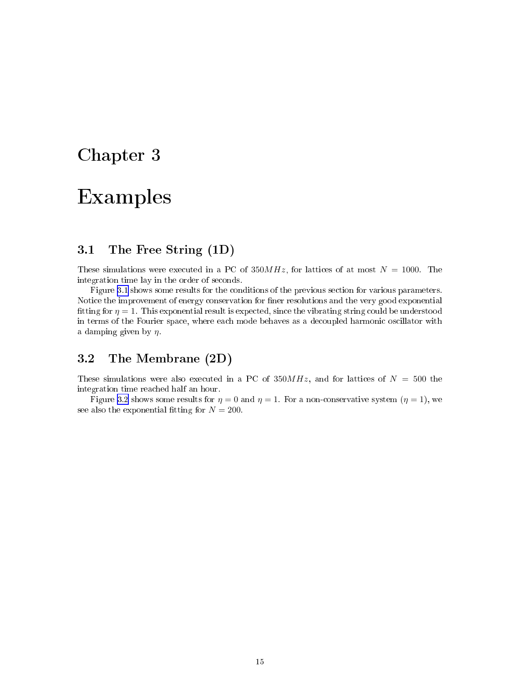## <span id="page-15-0"></span>Chapter 3

## Examples and the control of the control of the control of the control of the control of the control of the control of the control of the control of the control of the control of the control of the control of the control of

### 3.1 The Free String (1D)

These simulations were executed in a PC of  $350MHz$ , for lattices of at most  $N = 1000$ . The integration time lay in the order of se
onds.

Figure [3.1](#page-16-0) shows some results for the conditions of the previous section for various parameters. Notice the improvement of energy conservation for finer resolutions and the very good exponential fitting for  $\eta = 1$ . This exponential result is expected, since the vibrating string could be understood in terms of the Fourier space, where each mode behaves as a decoupled harmonic oscillator with a damping given by  $\eta$ .

### 3.2 The Membrane (2D)

These simulations were also executed in a PC of  $350MHz$ , and for lattices of  $N = 500$  the integration time rea
hed half an hour.

Figure [3.2](#page-16-0) shows some results for  $\eta = 0$  and  $\eta = 1$ . For a non-conservative system  $(\eta = 1)$ , we see also the exponential fitting for  $N = 200$ .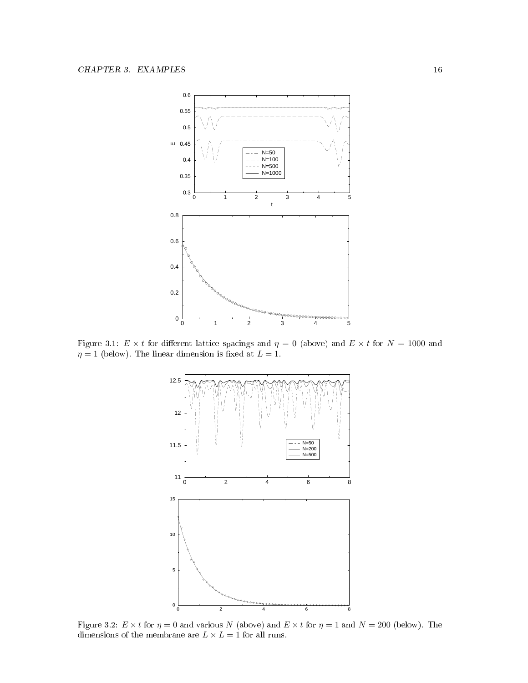<span id="page-16-0"></span>

Figure 3.1:  $E \times t$  for different lattice spacings and  $\eta = 0$  (above) and  $E \times t$  for  $N = 1000$  and  $\eta = 1$  (below). The linear dimension is fixed at  $L = 1$ .



Figure 3.2:  $E \times t$  for  $\eta = 0$  and various N (above) and  $E \times t$  for  $\eta = 1$  and  $N = 200$  (below). The dimensions of the membrane are  $L\times L=1$  for all runs.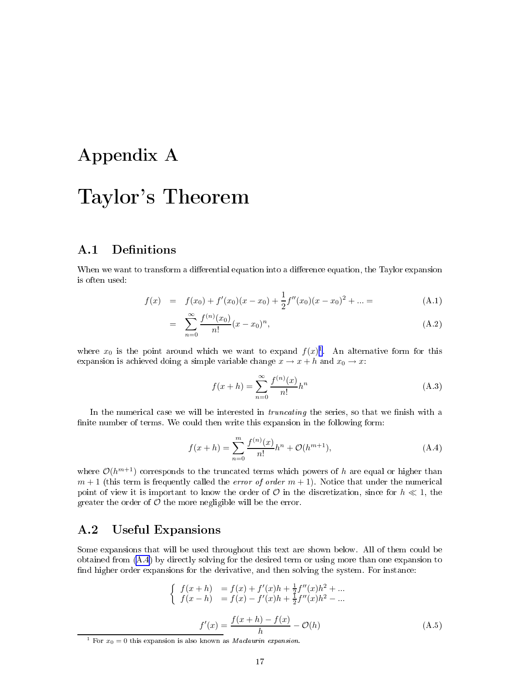## <span id="page-17-0"></span>Appendix A

## Taylor's Theorem

#### $A.1$ **Definitions**

When we want to transform a differential equation into a difference equation, the Taylor expansion is often used:

$$
f(x) = f(x_0) + f'(x_0)(x - x_0) + \frac{1}{2}f''(x_0)(x - x_0)^2 + \dots =
$$
 (A.1)

$$
= \sum_{n=0}^{\infty} \frac{f^{(n)}(x_0)}{n!} (x - x_0)^n,
$$
\n(A.2)

where  $x_0$  is the point around which we want to expand  $f(x)^{1}$ . An alternative form for this expansion is achieved doing a simple variable change  $x \to x + h$  and  $x_0 \to x$ :

$$
f(x+h) = \sum_{n=0}^{\infty} \frac{f^{(n)}(x)}{n!} h^n
$$
 (A.3)

In the numerical case we will be interested in *truncating* the series, so that we finish with a finite number of terms. We could then write this expansion in the following form:

$$
f(x+h) = \sum_{n=0}^{m} \frac{f^{(n)}(x)}{n!}h^n + \mathcal{O}(h^{m+1}),
$$
\n(A.4)

where  $\mathcal{O}(h^{m+1})$  corresponds to the truncated terms which powers of h are equal or higher than  $m+1$  (this term is frequently called the *error of order*  $m+1$ ). Notice that under the numerical point of view it is important to know the order of  $\mathcal O$  in the discretization, since for  $h \ll 1$ , the greater the order of  $\mathcal O$  the more negligible will be the error.

#### $\rm A.2$ Useful Expansions

Some expansions that will be used throughout this text are shown below. All of them could be obtained from (A.4) by dire
tly solving for the desired term or using more than one expansion to find higher order expansions for the derivative, and then solving the system. For instance:

$$
\begin{cases}\nf(x+h) = f(x) + f'(x)h + \frac{1}{2}f''(x)h^2 + \dots \\
f(x-h) = f(x) - f'(x)h + \frac{1}{2}f''(x)h^2 - \dots \\
f'(x) = \frac{f(x+h) - f(x)}{h} - \mathcal{O}(h)\n\end{cases} \tag{A.5}
$$

<sup>&</sup>lt;sup>1</sup> For  $x_0 = 0$  this expansion is also known as *Maclaurin expansion*.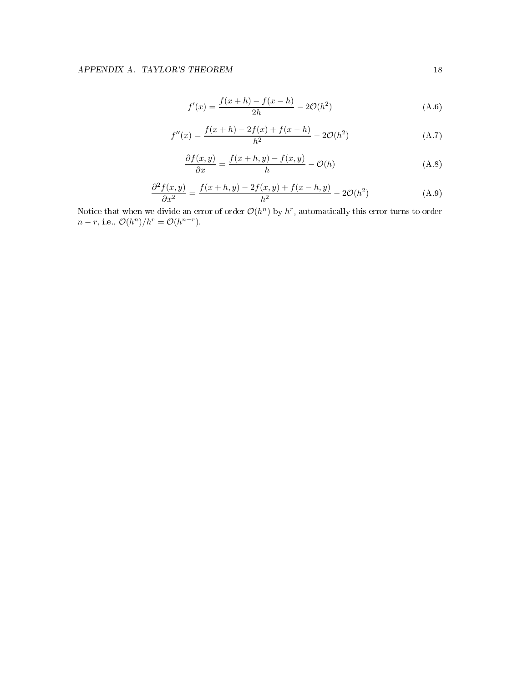$$
f'(x) = \frac{f(x+h) - f(x-h)}{2h} - 2\mathcal{O}(h^2)
$$
 (A.6)

$$
f''(x) = \frac{f(x+h) - 2f(x) + f(x-h)}{h^2} - 2\mathcal{O}(h^2)
$$
 (A.7)

$$
\frac{\partial f(x,y)}{\partial x} = \frac{f(x+h,y) - f(x,y)}{h} - \mathcal{O}(h) \tag{A.8}
$$

$$
\frac{\partial^2 f(x,y)}{\partial x^2} = \frac{f(x+h,y) - 2f(x,y) + f(x-h,y)}{h^2} - 2\mathcal{O}(h^2)
$$
\n(A.9)

Notice that when we divide an error of order  $\mathcal{O}(h^n)$  by  $h^r$ , automatically this error turns to order  $n-r$ , i.e.,  $\mathcal{O}(h^n)/h^r = \mathcal{O}(h^{n-r})$ .